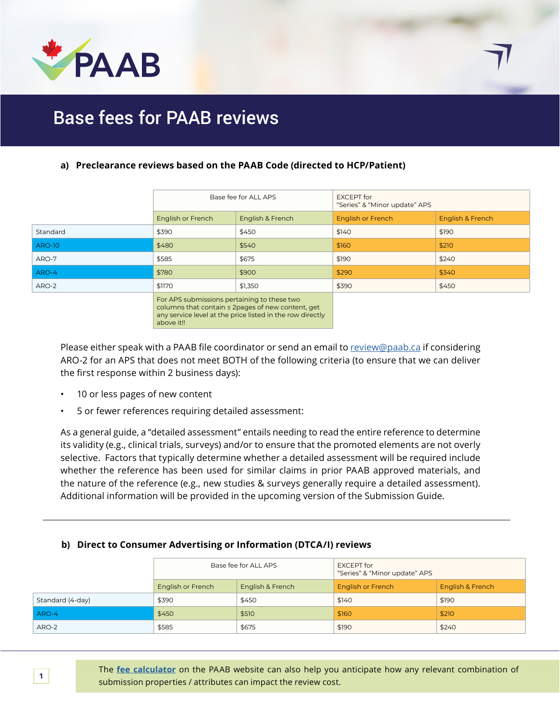

## Base fees for PAAB reviews

### **a) Preclearance reviews based on the PAAB Code (directed to HCP/Patient)**

|               | Base fee for ALL APS                        |                  | <b>EXCEPT</b> for<br>"Series" & "Minor update" APS |                  |
|---------------|---------------------------------------------|------------------|----------------------------------------------------|------------------|
|               | English or French                           | English & French | <b>English or French</b>                           | English & French |
| Standard      | \$390                                       | \$450            | \$140                                              | \$190            |
| <b>ARO-10</b> | \$480                                       | \$540            | \$160                                              | \$210            |
| ARO-7         | \$585                                       | \$675            | \$190                                              | \$240            |
| ARO-4         | \$780                                       | \$900            | \$290                                              | \$340            |
| ARO-2         | \$1170                                      | \$1,350          | \$390                                              | \$450            |
|               | For APS submissions pertaining to these two |                  |                                                    |                  |

olumns that contain ≤ 2pages of new content, ge any service level at the price listed in the row directly above it!!

Please either speak with a PAAB file coordinator or send an email to [review@paab.ca](mailto:review%40paab.ca?subject=) if considering ARO-2 for an APS that does not meet BOTH of the following criteria (to ensure that we can deliver the first response within 2 business days):

- 10 or less pages of new content
- 5 or fewer references requiring detailed assessment:

As a general guide, a "detailed assessment" entails needing to read the entire reference to determine its validity (e.g., clinical trials, surveys) and/or to ensure that the promoted elements are not overly selective. Factors that typically determine whether a detailed assessment will be required include whether the reference has been used for similar claims in prior PAAB approved materials, and the nature of the reference (e.g., new studies & surveys generally require a detailed assessment). Additional information will be provided in the upcoming version of the Submission Guide.

#### **b) Direct to Consumer Advertising or Information (DTCA/I) reviews**

|                  | Base fee for ALL APS |                  | <b>EXCEPT</b> for<br>"Series" & "Minor update" APS |                  |
|------------------|----------------------|------------------|----------------------------------------------------|------------------|
|                  | English or French    | English & French | <b>English or French</b>                           | English & French |
| Standard (4-day) | \$390                | \$450            | \$140                                              | \$190            |
| ARO-4            | \$450                | \$510            | \$160                                              | \$210            |
| ARO-2            | \$585                | \$675            | \$190                                              | \$240            |

The **[fee calculator](https://www.paab.ca/fee-calculator.htm)** on the PAAB website can also help you anticipate how any relevant combination of submission properties / attributes can impact the review cost.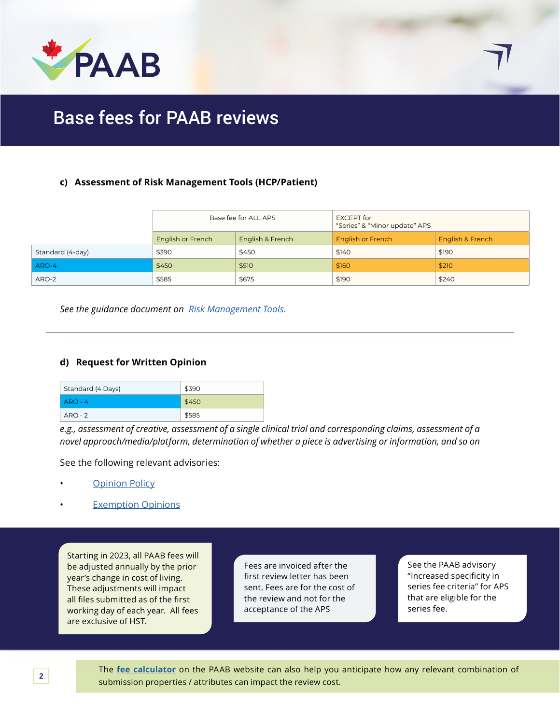

## Base fees for PAAB reviews

#### **c) Assessment of Risk Management Tools (HCP/Patient)**

|                  | Base fee for ALL APS |                  | <b>EXCEPT</b> for<br>"Series" & "Minor update" APS |                  |
|------------------|----------------------|------------------|----------------------------------------------------|------------------|
|                  | English or French    | English & French | <b>English or French</b>                           | English & French |
| Standard (4-day) | \$390                | \$450            | \$140                                              | \$190            |
| ARO-4            | \$450                | \$510            | \$160                                              | \$210            |
| ARO-2            | \$585                | \$675            | \$190                                              | \$240            |

*See the guidance document on [Risk Management Tools.](https://code.paab.ca/resources/Guidance_on_Risk_Managment_Tools_(September_2016typo_fixed)_(1).pdf)*

#### **d) Request for Written Opinion**

| Standard (4 Days) | \$390 |
|-------------------|-------|
| $ARO - 4$         | \$450 |
| $ARO - 2$         | \$585 |

*e.g., assessment of creative, assessment of a single clinical trial and corresponding claims, assessment of a novel approach/media/platform, determination of whether a piece is advertising or information, and so on*

See the following relevant advisories:

- **[Opinion Policy](https://www.paab.ca/resources/paab-opinion-policy/)** 
	- **[Exemption Opinions](https://www.paab.ca/resources/paab-policy-and-procedure-for-exemption-requests-20110830/)**

Starting in 2023, all PAAB fees will be adjusted annually by the prior year's change in cost of living. These adjustments will impact all files submitted as of the first working day of each year. All fees are exclusive of HST.

Fees are invoiced after the first review letter has been sent. Fees are for the cost of the review and not for the acceptance of the APS

See the PAAB advisory "Increased specificity in series fee criteria" for APS that are eligible for the series fee.

The **[fee calculator](https://www.paab.ca/fee-calculator.htm)** on the PAAB website can also help you anticipate how any relevant combination of submission properties / attributes can impact the review cost.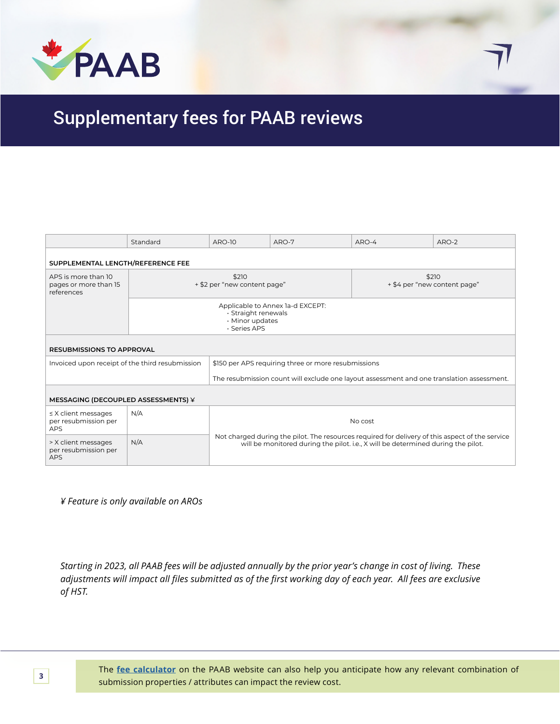

## Supplementary fees for PAAB reviews

|                                                            | Standard                                                                                   | <b>ARO-10</b>                                                                                                                                                                                  | ARO-7 | ARO-4                                 | ARO-2 |
|------------------------------------------------------------|--------------------------------------------------------------------------------------------|------------------------------------------------------------------------------------------------------------------------------------------------------------------------------------------------|-------|---------------------------------------|-------|
| SUPPLEMENTAL LENGTH/REFERENCE FEE                          |                                                                                            |                                                                                                                                                                                                |       |                                       |       |
| APS is more than 10<br>pages or more than 15<br>references |                                                                                            | \$210<br>+ \$2 per "new content page"                                                                                                                                                          |       | \$210<br>+ \$4 per "new content page" |       |
|                                                            | Applicable to Annex 1a-d EXCEPT:<br>· Straight renewals<br>· Minor updates<br>· Series APS |                                                                                                                                                                                                |       |                                       |       |
| <b>RESUBMISSIONS TO APPROVAL</b>                           |                                                                                            |                                                                                                                                                                                                |       |                                       |       |
| Invoiced upon receipt of the third resubmission            |                                                                                            | \$150 per APS requiring three or more resubmissions                                                                                                                                            |       |                                       |       |
|                                                            |                                                                                            | The resubmission count will exclude one layout assessment and one translation assessment.                                                                                                      |       |                                       |       |
| MESSAGING (DECOUPLED ASSESSMENTS) ¥                        |                                                                                            |                                                                                                                                                                                                |       |                                       |       |
| $\leq$ X client messages<br>per resubmission per<br>APS    | N/A                                                                                        | No cost<br>Not charged during the pilot. The resources required for delivery of this aspect of the service<br>will be monitored during the pilot. i.e., X will be determined during the pilot. |       |                                       |       |
| > X client messages<br>per resubmission per<br><b>APS</b>  | N/A                                                                                        |                                                                                                                                                                                                |       |                                       |       |

*¥ Feature is only available on AROs*

*Starting in 2023, all PAAB fees will be adjusted annually by the prior year's change in cost of living. These adjustments will impact all files submitted as of the first working day of each year. All fees are exclusive of HST.* 

The **[fee calculator](https://www.paab.ca/fee-calculator.htm)** on the PAAB website can also help you anticipate how any relevant combination of submission properties / attributes can impact the review cost.